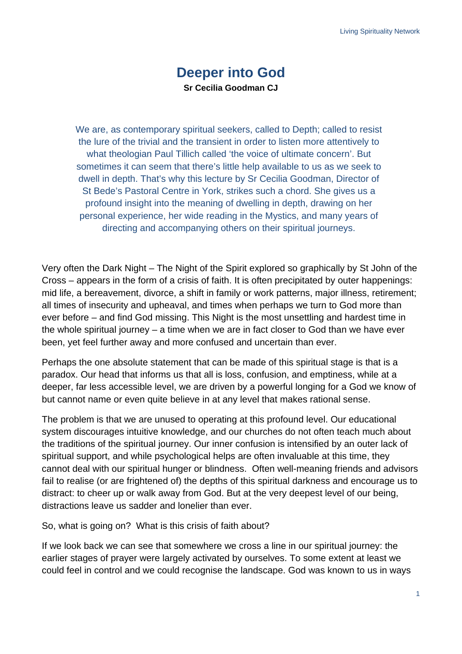## **Deeper into God Sr Cecilia Goodman CJ**

We are, as contemporary spiritual seekers, called to Depth; called to resist the lure of the trivial and the transient in order to listen more attentively to what theologian Paul Tillich called 'the voice of ultimate concern'. But sometimes it can seem that there's little help available to us as we seek to dwell in depth. That's why this lecture by Sr Cecilia Goodman, Director of St Bede's Pastoral Centre in York, strikes such a chord. She gives us a profound insight into the meaning of dwelling in depth, drawing on her personal experience, her wide reading in the Mystics, and many years of directing and accompanying others on their spiritual journeys.

Very often the Dark Night – The Night of the Spirit explored so graphically by St John of the Cross – appears in the form of a crisis of faith. It is often precipitated by outer happenings: mid life, a bereavement, divorce, a shift in family or work patterns, major illness, retirement; all times of insecurity and upheaval, and times when perhaps we turn to God more than ever before – and find God missing. This Night is the most unsettling and hardest time in the whole spiritual journey – a time when we are in fact closer to God than we have ever been, yet feel further away and more confused and uncertain than ever.

Perhaps the one absolute statement that can be made of this spiritual stage is that is a paradox. Our head that informs us that all is loss, confusion, and emptiness, while at a deeper, far less accessible level, we are driven by a powerful longing for a God we know of but cannot name or even quite believe in at any level that makes rational sense.

The problem is that we are unused to operating at this profound level. Our educational system discourages intuitive knowledge, and our churches do not often teach much about the traditions of the spiritual journey. Our inner confusion is intensified by an outer lack of spiritual support, and while psychological helps are often invaluable at this time, they cannot deal with our spiritual hunger or blindness. Often well-meaning friends and advisors fail to realise (or are frightened of) the depths of this spiritual darkness and encourage us to distract: to cheer up or walk away from God. But at the very deepest level of our being, distractions leave us sadder and lonelier than ever.

So, what is going on? What is this crisis of faith about?

If we look back we can see that somewhere we cross a line in our spiritual journey: the earlier stages of prayer were largely activated by ourselves. To some extent at least we could feel in control and we could recognise the landscape. God was known to us in ways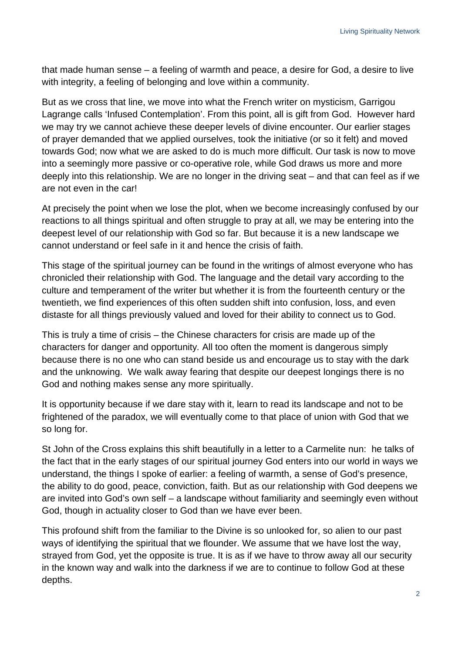that made human sense – a feeling of warmth and peace, a desire for God, a desire to live with integrity, a feeling of belonging and love within a community.

But as we cross that line, we move into what the French writer on mysticism, Garrigou Lagrange calls 'Infused Contemplation'. From this point, all is gift from God. However hard we may try we cannot achieve these deeper levels of divine encounter. Our earlier stages of prayer demanded that we applied ourselves, took the initiative (or so it felt) and moved towards God; now what we are asked to do is much more difficult. Our task is now to move into a seemingly more passive or co-operative role, while God draws us more and more deeply into this relationship. We are no longer in the driving seat – and that can feel as if we are not even in the car!

At precisely the point when we lose the plot, when we become increasingly confused by our reactions to all things spiritual and often struggle to pray at all, we may be entering into the deepest level of our relationship with God so far. But because it is a new landscape we cannot understand or feel safe in it and hence the crisis of faith.

This stage of the spiritual journey can be found in the writings of almost everyone who has chronicled their relationship with God. The language and the detail vary according to the culture and temperament of the writer but whether it is from the fourteenth century or the twentieth, we find experiences of this often sudden shift into confusion, loss, and even distaste for all things previously valued and loved for their ability to connect us to God.

This is truly a time of crisis – the Chinese characters for crisis are made up of the characters for danger and opportunity*.* All too often the moment is dangerous simply because there is no one who can stand beside us and encourage us to stay with the dark and the unknowing. We walk away fearing that despite our deepest longings there is no God and nothing makes sense any more spiritually.

It is opportunity because if we dare stay with it, learn to read its landscape and not to be frightened of the paradox, we will eventually come to that place of union with God that we so long for.

St John of the Cross explains this shift beautifully in a letter to a Carmelite nun: he talks of the fact that in the early stages of our spiritual journey God enters into our world in ways we understand, the things I spoke of earlier: a feeling of warmth, a sense of God's presence, the ability to do good, peace, conviction, faith. But as our relationship with God deepens we are invited into God's own self – a landscape without familiarity and seemingly even without God, though in actuality closer to God than we have ever been.

This profound shift from the familiar to the Divine is so unlooked for, so alien to our past ways of identifying the spiritual that we flounder. We assume that we have lost the way, strayed from God, yet the opposite is true. It is as if we have to throw away all our security in the known way and walk into the darkness if we are to continue to follow God at these depths.